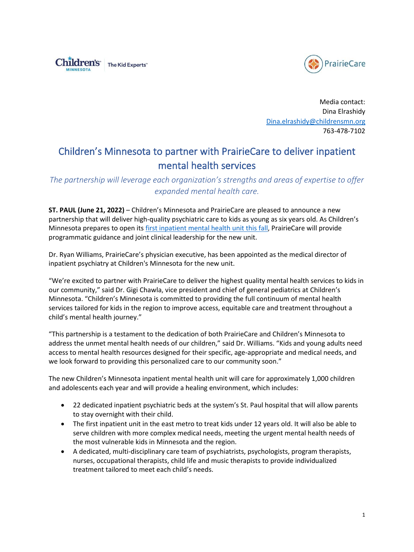



Media contact: Dina Elrashidy [Dina.elrashidy@childrensmn.org](mailto:Dina.elrashidy@childrensmn.org) 763-478-7102

## Children's Minnesota to partner with PrairieCare to deliver inpatient mental health services

*The partnership will leverage each organization's strengths and areas of expertise to offer expanded mental health care.*

**ST. PAUL (June 21, 2022)** – Children's Minnesota and PrairieCare are pleased to announce a new partnership that will deliver high-quality psychiatric care to kids as young as six years old. As Children's Minnesota prepares to open its [first inpatient mental health unit this fall,](https://www.childrensmn.org/2021/10/04/childrens-minnesota-open-first-inpatient-mental-health-center-st-paul-hospital-2/) PrairieCare will provide programmatic guidance and joint clinical leadership for the new unit.

Dr. Ryan Williams, PrairieCare's physician executive, has been appointed as the medical director of inpatient psychiatry at Children's Minnesota for the new unit.

"We're excited to partner with PrairieCare to deliver the highest quality mental health services to kids in our community," said Dr. Gigi Chawla, vice president and chief of general pediatrics at Children's Minnesota. "Children's Minnesota is committed to providing the full continuum of mental health services tailored for kids in the region to improve access, equitable care and treatment throughout a child's mental health journey."

"This partnership is a testament to the dedication of both PrairieCare and Children's Minnesota to address the unmet mental health needs of our children," said Dr. Williams. "Kids and young adults need access to mental health resources designed for their specific, age-appropriate and medical needs, and we look forward to providing this personalized care to our community soon."

The new Children's Minnesota inpatient mental health unit will care for approximately 1,000 children and adolescents each year and will provide a healing environment, which includes:

- 22 dedicated inpatient psychiatric beds at the system's St. Paul hospital that will allow parents to stay overnight with their child.
- The first inpatient unit in the east metro to treat kids under 12 years old. It will also be able to serve children with more complex medical needs, meeting the urgent mental health needs of the most vulnerable kids in Minnesota and the region.
- A dedicated, multi-disciplinary care team of psychiatrists, psychologists, program therapists, nurses, occupational therapists, child life and music therapists to provide individualized treatment tailored to meet each child's needs.